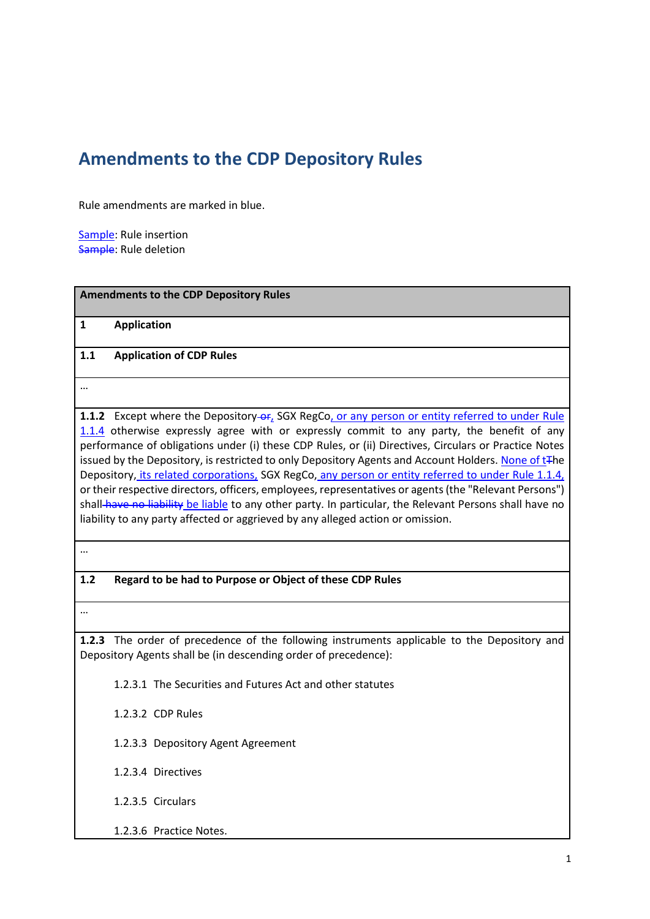# **Amendments to the CDP Depository Rules**

Rule amendments are marked in blue.

Sample: Rule insertion Sample: Rule deletion

| <b>Amendments to the CDP Depository Rules</b> |                                                                                                                                                                                                                                                                                                                                                                                                                                                                                                                                                                                                                                                                                                                                                                                                                                         |  |
|-----------------------------------------------|-----------------------------------------------------------------------------------------------------------------------------------------------------------------------------------------------------------------------------------------------------------------------------------------------------------------------------------------------------------------------------------------------------------------------------------------------------------------------------------------------------------------------------------------------------------------------------------------------------------------------------------------------------------------------------------------------------------------------------------------------------------------------------------------------------------------------------------------|--|
| 1                                             | <b>Application</b>                                                                                                                                                                                                                                                                                                                                                                                                                                                                                                                                                                                                                                                                                                                                                                                                                      |  |
| 1.1                                           | <b>Application of CDP Rules</b>                                                                                                                                                                                                                                                                                                                                                                                                                                                                                                                                                                                                                                                                                                                                                                                                         |  |
|                                               |                                                                                                                                                                                                                                                                                                                                                                                                                                                                                                                                                                                                                                                                                                                                                                                                                                         |  |
|                                               | 1.1.2 Except where the Depository-or, SGX RegCo, or any person or entity referred to under Rule<br>1.1.4 otherwise expressly agree with or expressly commit to any party, the benefit of any<br>performance of obligations under (i) these CDP Rules, or (ii) Directives, Circulars or Practice Notes<br>issued by the Depository, is restricted to only Depository Agents and Account Holders. None of t <sub>The</sub><br>Depository, its related corporations, SGX RegCo, any person or entity referred to under Rule 1.1.4,<br>or their respective directors, officers, employees, representatives or agents (the "Relevant Persons")<br>shall-have no liability be liable to any other party. In particular, the Relevant Persons shall have no<br>liability to any party affected or aggrieved by any alleged action or omission. |  |
|                                               |                                                                                                                                                                                                                                                                                                                                                                                                                                                                                                                                                                                                                                                                                                                                                                                                                                         |  |

# **1.2 Regard to be had to Purpose or Object of these CDP Rules**

…

**1.2.3** The order of precedence of the following instruments applicable to the Depository and Depository Agents shall be (in descending order of precedence):

1.2.3.1 The Securities and Futures Act and other statutes

1.2.3.2 CDP Rules

1.2.3.3 Depository Agent Agreement

1.2.3.4 Directives

1.2.3.5 Circulars

1.2.3.6 Practice Notes.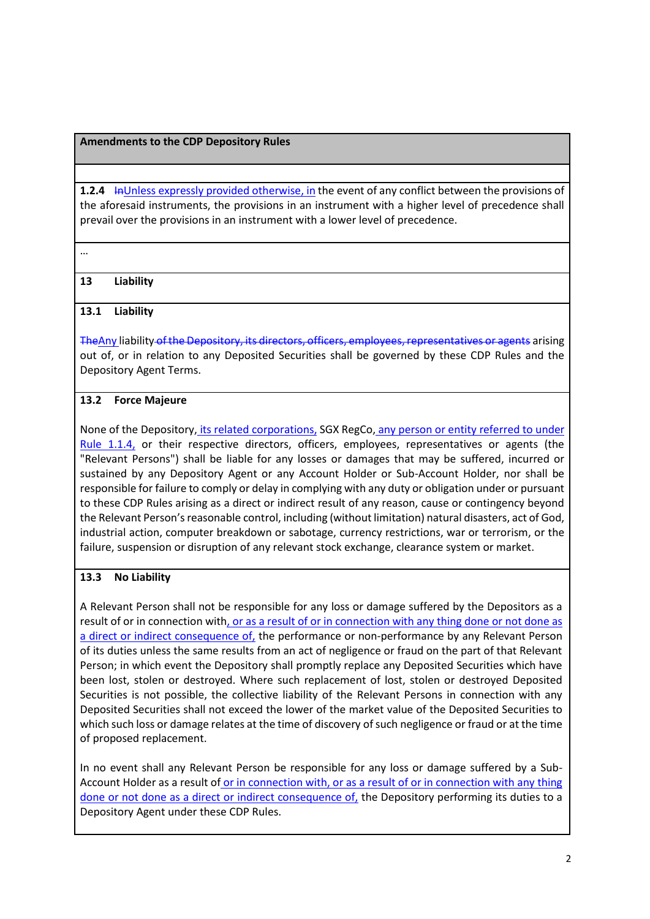#### **Amendments to the CDP Depository Rules**

**1.2.4 In Unless expressly provided otherwise, in the event of any conflict between the provisions of** the aforesaid instruments, the provisions in an instrument with a higher level of precedence shall prevail over the provisions in an instrument with a lower level of precedence.

…

### **13 Liability**

### **13.1 Liability**

TheAny liability of the Depository, its directors, officers, employees, representatives or agents arising out of, or in relation to any Deposited Securities shall be governed by these CDP Rules and the Depository Agent Terms.

### **13.2 Force Majeure**

None of the Depository, its related corporations, SGX RegCo, any person or entity referred to under Rule 1.1.4, or their respective directors, officers, employees, representatives or agents (the "Relevant Persons") shall be liable for any losses or damages that may be suffered, incurred or sustained by any Depository Agent or any Account Holder or Sub-Account Holder, nor shall be responsible for failure to comply or delay in complying with any duty or obligation under or pursuant to these CDP Rules arising as a direct or indirect result of any reason, cause or contingency beyond the Relevant Person's reasonable control, including (without limitation) natural disasters, act of God, industrial action, computer breakdown or sabotage, currency restrictions, war or terrorism, or the failure, suspension or disruption of any relevant stock exchange, clearance system or market.

### **13.3 No Liability**

A Relevant Person shall not be responsible for any loss or damage suffered by the Depositors as a result of or in connection with, or as a result of or in connection with any thing done or not done as a direct or indirect consequence of, the performance or non-performance by any Relevant Person of its duties unless the same results from an act of negligence or fraud on the part of that Relevant Person; in which event the Depository shall promptly replace any Deposited Securities which have been lost, stolen or destroyed. Where such replacement of lost, stolen or destroyed Deposited Securities is not possible, the collective liability of the Relevant Persons in connection with any Deposited Securities shall not exceed the lower of the market value of the Deposited Securities to which such loss or damage relates at the time of discovery of such negligence or fraud or at the time of proposed replacement.

In no event shall any Relevant Person be responsible for any loss or damage suffered by a Sub-Account Holder as a result of or in connection with, or as a result of or in connection with any thing done or not done as a direct or indirect consequence of, the Depository performing its duties to a Depository Agent under these CDP Rules.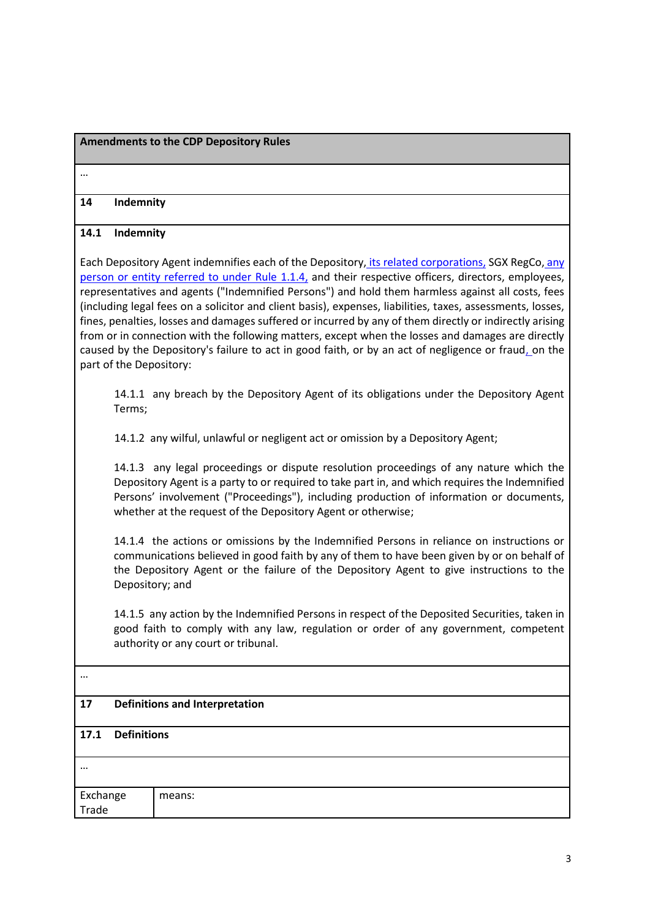### **Amendments to the CDP Depository Rules**

…

#### **14 Indemnity**

#### **14.1 Indemnity**

Each Depository Agent indemnifies each of the Depository, its related corporations, SGX RegCo, any person or entity referred to under Rule 1.1.4, and their respective officers, directors, employees, representatives and agents ("Indemnified Persons") and hold them harmless against all costs, fees (including legal fees on a solicitor and client basis), expenses, liabilities, taxes, assessments, losses, fines, penalties, losses and damages suffered or incurred by any of them directly or indirectly arising from or in connection with the following matters, except when the losses and damages are directly caused by the Depository's failure to act in good faith, or by an act of negligence or fraud, on the part of the Depository:

14.1.1 any breach by the Depository Agent of its obligations under the Depository Agent Terms;

14.1.2 any wilful, unlawful or negligent act or omission by a Depository Agent;

14.1.3 any legal proceedings or dispute resolution proceedings of any nature which the Depository Agent is a party to or required to take part in, and which requires the Indemnified Persons' involvement ("Proceedings"), including production of information or documents, whether at the request of the Depository Agent or otherwise;

14.1.4 the actions or omissions by the Indemnified Persons in reliance on instructions or communications believed in good faith by any of them to have been given by or on behalf of the Depository Agent or the failure of the Depository Agent to give instructions to the Depository; and

14.1.5 any action by the Indemnified Persons in respect of the Deposited Securities, taken in good faith to comply with any law, regulation or order of any government, competent authority or any court or tribunal.

#### …

## **17 Definitions and Interpretation**

#### **17.1 Definitions**

| $\cdots$          |        |
|-------------------|--------|
| Exchange<br>Trade | means: |